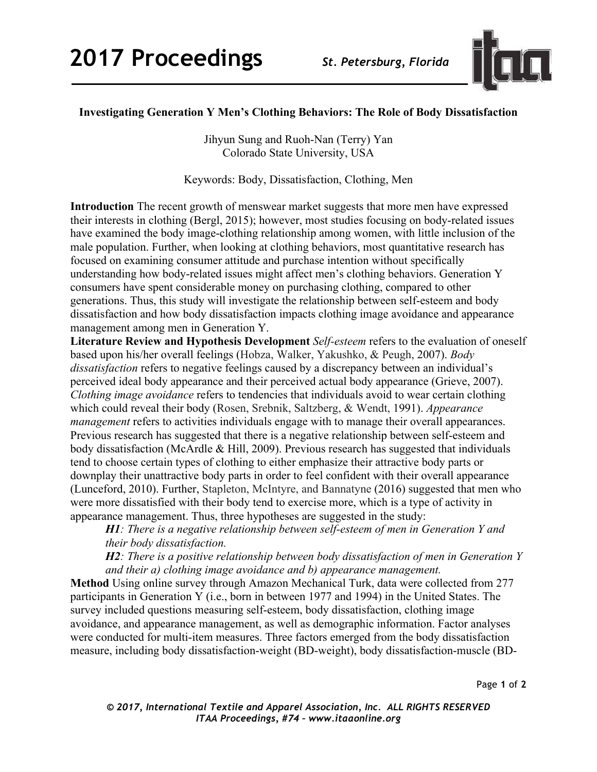

## **Investigating Generation Y Men's Clothing Behaviors: The Role of Body Dissatisfaction**

Jihyun Sung and Ruoh-Nan (Terry) Yan Colorado State University, USA

Keywords: Body, Dissatisfaction, Clothing, Men

**Introduction** The recent growth of menswear market suggests that more men have expressed their interests in clothing (Bergl, 2015); however, most studies focusing on body-related issues have examined the body image-clothing relationship among women, with little inclusion of the male population. Further, when looking at clothing behaviors, most quantitative research has focused on examining consumer attitude and purchase intention without specifically understanding how body-related issues might affect men's clothing behaviors. Generation Y consumers have spent considerable money on purchasing clothing, compared to other generations. Thus, this study will investigate the relationship between self-esteem and body dissatisfaction and how body dissatisfaction impacts clothing image avoidance and appearance management among men in Generation Y.

**Literature Review and Hypothesis Development** *Self-esteem* refers to the evaluation of oneself based upon his/her overall feelings (Hobza, Walker, Yakushko, & Peugh, 2007). *Body dissatisfaction* refers to negative feelings caused by a discrepancy between an individual's perceived ideal body appearance and their perceived actual body appearance (Grieve, 2007). *Clothing image avoidance* refers to tendencies that individuals avoid to wear certain clothing which could reveal their body (Rosen, Srebnik, Saltzberg, & Wendt, 1991). *Appearance management* refers to activities individuals engage with to manage their overall appearances. Previous research has suggested that there is a negative relationship between self-esteem and body dissatisfaction (McArdle & Hill, 2009). Previous research has suggested that individuals tend to choose certain types of clothing to either emphasize their attractive body parts or downplay their unattractive body parts in order to feel confident with their overall appearance (Lunceford, 2010). Further, Stapleton, McIntyre, and Bannatyne (2016) suggested that men who were more dissatisfied with their body tend to exercise more, which is a type of activity in appearance management. Thus, three hypotheses are suggested in the study:

*H1: There is a negative relationship between self-esteem of men in Generation Y and their body dissatisfaction.*

*H2: There is a positive relationship between body dissatisfaction of men in Generation Y and their a) clothing image avoidance and b) appearance management.*

**Method** Using online survey through Amazon Mechanical Turk, data were collected from 277 participants in Generation Y (i.e., born in between 1977 and 1994) in the United States. The survey included questions measuring self-esteem, body dissatisfaction, clothing image avoidance, and appearance management, as well as demographic information. Factor analyses were conducted for multi-item measures. Three factors emerged from the body dissatisfaction measure, including body dissatisfaction-weight (BD-weight), body dissatisfaction-muscle (BD-

Page **1** of **2**

*© 2017, International Textile and Apparel Association, Inc. ALL RIGHTS RESERVED ITAA Proceedings, #74 – www.itaaonline.org*